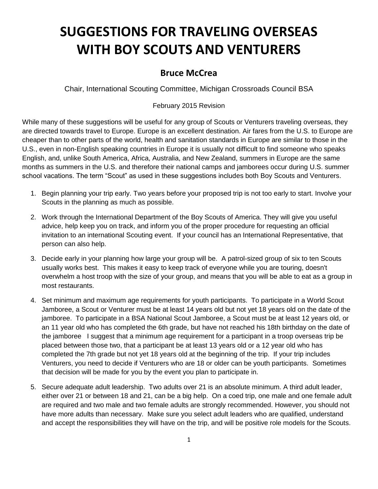## **SUGGESTIONS FOR TRAVELING OVERSEAS WITH BOY SCOUTS AND VENTURERS**

## **Bruce McCrea**

Chair, International Scouting Committee, Michigan Crossroads Council BSA

## February 2015 Revision

While many of these suggestions will be useful for any group of Scouts or Venturers traveling overseas, they are directed towards travel to Europe. Europe is an excellent destination. Air fares from the U.S. to Europe are cheaper than to other parts of the world, health and sanitation standards in Europe are similar to those in the U.S., even in non-English speaking countries in Europe it is usually not difficult to find someone who speaks English, and, unlike South America, Africa, Australia, and New Zealand, summers in Europe are the same months as summers in the U.S. and therefore their national camps and jamborees occur during U.S. summer school vacations. The term "Scout" as used in these suggestions includes both Boy Scouts and Venturers.

- 1. Begin planning your trip early. Two years before your proposed trip is not too early to start. Involve your Scouts in the planning as much as possible.
- 2. Work through the International Department of the Boy Scouts of America. They will give you useful advice, help keep you on track, and inform you of the proper procedure for requesting an official invitation to an international Scouting event. If your council has an International Representative, that person can also help.
- 3. Decide early in your planning how large your group will be. A patrol-sized group of six to ten Scouts usually works best. This makes it easy to keep track of everyone while you are touring, doesn't overwhelm a host troop with the size of your group, and means that you will be able to eat as a group in most restaurants.
- 4. Set minimum and maximum age requirements for youth participants. To participate in a World Scout Jamboree, a Scout or Venturer must be at least 14 years old but not yet 18 years old on the date of the jamboree. To participate in a BSA National Scout Jamboree, a Scout must be at least 12 years old, or an 11 year old who has completed the 6th grade, but have not reached his 18th birthday on the date of the jamboree I suggest that a minimum age requirement for a participant in a troop overseas trip be placed between those two, that a participant be at least 13 years old or a 12 year old who has completed the 7th grade but not yet 18 years old at the beginning of the trip. If your trip includes Venturers, you need to decide if Venturers who are 18 or older can be youth participants. Sometimes that decision will be made for you by the event you plan to participate in.
- 5. Secure adequate adult leadership. Two adults over 21 is an absolute minimum. A third adult leader, either over 21 or between 18 and 21, can be a big help. On a coed trip, one male and one female adult are required and two male and two female adults are strongly recommended. However, you should not have more adults than necessary. Make sure you select adult leaders who are qualified, understand and accept the responsibilities they will have on the trip, and will be positive role models for the Scouts.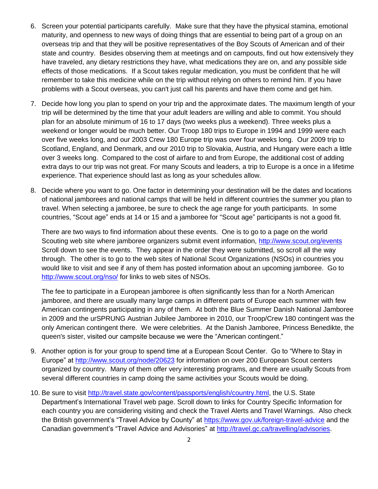- 6. Screen your potential participants carefully. Make sure that they have the physical stamina, emotional maturity, and openness to new ways of doing things that are essential to being part of a group on an overseas trip and that they will be positive representatives of the Boy Scouts of American and of their state and country. Besides observing them at meetings and on campouts, find out how extensively they have traveled, any dietary restrictions they have, what medications they are on, and any possible side effects of those medications. If a Scout takes regular medication, you must be confident that he will remember to take this medicine while on the trip without relying on others to remind him. If you have problems with a Scout overseas, you can't just call his parents and have them come and get him.
- 7. Decide how long you plan to spend on your trip and the approximate dates. The maximum length of your trip will be determined by the time that your adult leaders are willing and able to commit. You should plan for an absolute minimum of 16 to 17 days (two weeks plus a weekend). Three weeks plus a weekend or longer would be much better. Our Troop 180 trips to Europe in 1994 and 1999 were each over five weeks long, and our 2003 Crew 180 Europe trip was over four weeks long. Our 2009 trip to Scotland, England, and Denmark, and our 2010 trip to Slovakia, Austria, and Hungary were each a little over 3 weeks long. Compared to the cost of airfare to and from Europe, the additional cost of adding extra days to our trip was not great. For many Scouts and leaders, a trip to Europe is a once in a lifetime experience. That experience should last as long as your schedules allow.
- 8. Decide where you want to go. One factor in determining your destination will be the dates and locations of national jamborees and national camps that will be held in different countries the summer you plan to travel. When selecting a jamboree, be sure to check the age range for youth participants. In some countries, "Scout age" ends at 14 or 15 and a jamboree for "Scout age" participants is not a good fit.

There are two ways to find information about these events. One is to go to a page on the world Scouting web site where jamboree organizers submit event information,<http://www.scout.org/events> Scroll down to see the events. They appear in the order they were submitted, so scroll all the way through. The other is to go to the web sites of National Scout Organizations (NSOs) in countries you would like to visit and see if any of them has posted information about an upcoming jamboree. Go to <http://www.scout.org/nso/> for links to web sites of NSOs.

The fee to participate in a European jamboree is often significantly less than for a North American jamboree, and there are usually many large camps in different parts of Europe each summer with few American contingents participating in any of them. At both the Blue Summer Danish National Jamboree in 2009 and the urSPRUNG Austrian Jubilee Jamboree in 2010, our Troop/Crew 180 contingent was the only American contingent there. We were celebrities. At the Danish Jamboree, Princess Benedikte, the queen's sister, visited our campsite because we were the "American contingent."

- 9. Another option is for your group to spend time at a European Scout Center. Go to "Where to Stay in Europe" at<http://www.scout.org/node/20623> for information on over 200 European Scout centers organized by country. Many of them offer very interesting programs, and there are usually Scouts from several different countries in camp doing the same activities your Scouts would be doing.
- 10. Be sure to visit [http://travel.state.gov/content/passports/english/country.html,](http://travel.state.gov/content/passports/english/country.html) the U.S. State Department's International Travel web page. Scroll down to links for Country Specific Information for each country you are considering visiting and check the Travel Alerts and Travel Warnings. Also check the British government's "Travel Advice by County" at <https://www.gov.uk/foreign-travel-advice> and the Canadian government's "Travel Advice and Advisories" at [http://travel.gc.ca/travelling/advisories.](http://travel.gc.ca/travelling/advisories)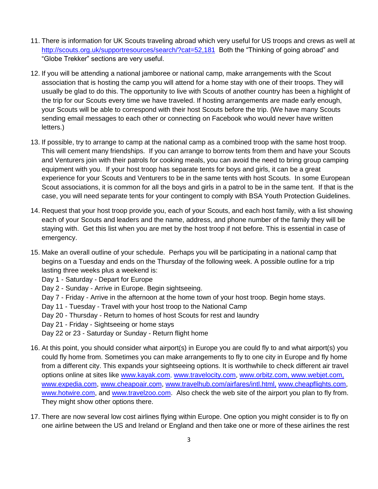- 11. There is information for UK Scouts traveling abroad which very useful for US troops and crews as well at <http://scouts.org.uk/supportresources/search/?cat=52,181>Both the "Thinking of going abroad" and "Globe Trekker" sections are very useful.
- 12. If you will be attending a national jamboree or national camp, make arrangements with the Scout association that is hosting the camp you will attend for a home stay with one of their troops. They will usually be glad to do this. The opportunity to live with Scouts of another country has been a highlight of the trip for our Scouts every time we have traveled. If hosting arrangements are made early enough, your Scouts will be able to correspond with their host Scouts before the trip. (We have many Scouts sending email messages to each other or connecting on Facebook who would never have written letters.)
- 13. If possible, try to arrange to camp at the national camp as a combined troop with the same host troop. This will cement many friendships. If you can arrange to borrow tents from them and have your Scouts and Venturers join with their patrols for cooking meals, you can avoid the need to bring group camping equipment with you. If your host troop has separate tents for boys and girls, it can be a great experience for your Scouts and Venturers to be in the same tents with host Scouts. In some European Scout associations, it is common for all the boys and girls in a patrol to be in the same tent. If that is the case, you will need separate tents for your contingent to comply with BSA Youth Protection Guidelines.
- 14. Request that your host troop provide you, each of your Scouts, and each host family, with a list showing each of your Scouts and leaders and the name, address, and phone number of the family they will be staying with. Get this list when you are met by the host troop if not before. This is essential in case of emergency.
- 15. Make an overall outline of your schedule. Perhaps you will be participating in a national camp that begins on a Tuesday and ends on the Thursday of the following week. A possible outline for a trip lasting three weeks plus a weekend is:
	- Day 1 Saturday Depart for Europe
	- Day 2 Sunday Arrive in Europe. Begin sightseeing.
	- Day 7 Friday Arrive in the afternoon at the home town of your host troop. Begin home stays.
	- Day 11 Tuesday Travel with your host troop to the National Camp
	- Day 20 Thursday Return to homes of host Scouts for rest and laundry
	- Day 21 Friday Sightseeing or home stays
	- Day 22 or 23 Saturday or Sunday Return flight home
- 16. At this point, you should consider what airport(s) in Europe you are could fly to and what airport(s) you could fly home from. Sometimes you can make arrangements to fly to one city in Europe and fly home from a different city. This expands your sightseeing options. It is worthwhile to check different air travel options online at sites like [www.kayak.com,](http://www.kayak.com/) www.travelocity.com, [www.orbitz.com,](http://www.orbitz.com/) www.webjet.com, www.expedia.com, [www.cheapoair.com,](http://www.cheapoair.com/) [www.travelhub.com/airfares/intl.html,](http://www.travelhub.com/airfares/intl.html) [www.cheapflights.com,](http://www.cheapflights.com/) [www.hotwire.com,](http://www.hotwire.com/) and [www.travelzoo.com.](http://www.travelzoo.com/) Also check the web site of the airport you plan to fly from. They might show other options there.
- 17. There are now several low cost airlines flying within Europe. One option you might consider is to fly on one airline between the US and Ireland or England and then take one or more of these airlines the rest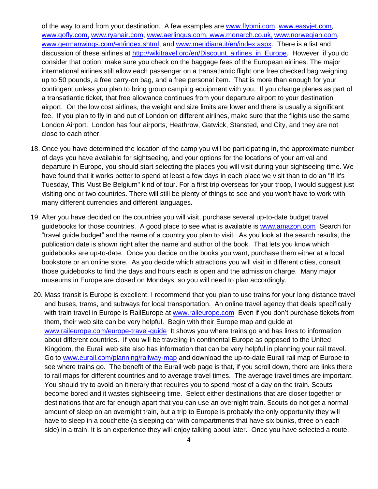of the way to and from your destination. A few examples are www.flybmi.com, www.easyjet.com, www.gofly.com, www.ryanair.com, [www.aerlingus.com,](http://www.aerlingus.com/) [www.monarch.co.uk,](http://www.monarch.co.uk/) [www.norwegian.com,](http://www.norwegian.com/) [www.germanwings.com/en/index.shtml,](http://www.germanwings.com/en/index.shtml) and www.meridiana.it/en/index.aspx. There is a list and discussion of these airlines at [http://wikitravel.org/en/Discount\\_airlines\\_in\\_Europe.](http://wikitravel.org/en/Discount_airlines_in_Europe) However, if you do consider that option, make sure you check on the baggage fees of the European airlines. The major international airlines still allow each passenger on a transatlantic flight one free checked bag weighing up to 50 pounds, a free carry-on bag, and a free personal item. That is more than enough for your contingent unless you plan to bring group camping equipment with you. If you change planes as part of a transatlantic ticket, that free allowance continues from your departure airport to your destination airport. On the low cost airlines, the weight and size limits are lower and there is usually a significant fee. If you plan to fly in and out of London on different airlines, make sure that the flights use the same London Airport. London has four airports, Heathrow, Gatwick, Stansted, and City, and they are not close to each other.

- 18. Once you have determined the location of the camp you will be participating in, the approximate number of days you have available for sightseeing, and your options for the locations of your arrival and departure in Europe, you should start selecting the places you will visit during your sightseeing time. We have found that it works better to spend at least a few days in each place we visit than to do an "If It's Tuesday, This Must Be Belgium" kind of tour. For a first trip overseas for your troop, I would suggest just visiting one or two countries. There will still be plenty of things to see and you won't have to work with many different currencies and different languages.
- 19. After you have decided on the countries you will visit, purchase several up-to-date budget travel guidebooks for those countries. A good place to see what is available is [www.amazon.com](http://www.amazon.com/) Search for "travel guide budget" and the name of a country you plan to visit. As you look at the search results, the publication date is shown right after the name and author of the book. That lets you know which guidebooks are up-to-date. Once you decide on the books you want, purchase them either at a local bookstore or an online store. As you decide which attractions you will visit in different cities, consult those guidebooks to find the days and hours each is open and the admission charge. Many major museums in Europe are closed on Mondays, so you will need to plan accordingly.
- 20. Mass transit is Europe is excellent. I recommend that you plan to use trains for your long distance travel and buses, trams, and subways for local transportation. An online travel agency that deals specifically with train travel in Europe is RailEurope at [www.raileurope.com](http://www.raileurope.com/) Even if you don't purchase tickets from them, their web site can be very helpful. Begin with their Europe map and guide at [www.raileurope.com/europe-travel-guide](http://www.raileurope.com/europe-travel-guide) It shows you where trains go and has links to information about different countries. If you will be traveling in continental Europe as opposed to the United Kingdom, the Eurail web site also has information that can be very helpful in planning your rail travel. Go to [www.eurail.com/planning/railway-map](http://www.eurail.com/planning/railway-map) and download the up-to-date Eurail rail map of Europe to see where trains go. The benefit of the Eurail web page is that, if you scroll down, there are links there to rail maps for different countries and to average travel times. The average travel times are important. You should try to avoid an itinerary that requires you to spend most of a day on the train. Scouts become bored and it wastes sightseeing time. Select either destinations that are closer together or destinations that are far enough apart that you can use an overnight train. Scouts do not get a normal amount of sleep on an overnight train, but a trip to Europe is probably the only opportunity they will have to sleep in a couchette (a sleeping car with compartments that have six bunks, three on each side) in a train. It is an experience they will enjoy talking about later. Once you have selected a route,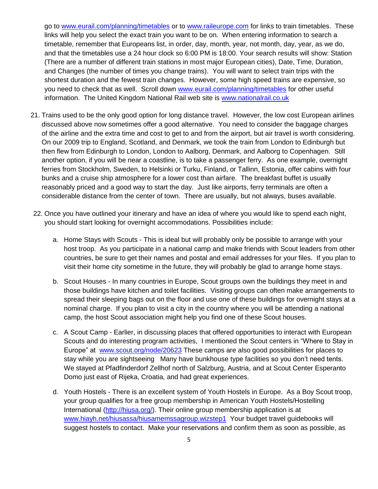go to [www.eurail.com/planning/timetables](http://www.eurail.com/planning/timetables) or to [www.raileurope.com](http://www.raileurope.com/) for links to train timetables. These links will help you select the exact train you want to be on. When entering information to search a timetable, remember that Europeans list, in order, day, month, year, not month, day, year, as we do, and that the timetables use a 24 hour clock so 6:00 PM is 18:00. Your search results will show: Station (There are a number of different train stations in most major European cities), Date, Time, Duration, and Changes (the number of times you change trains). You will want to select train trips with the shortest duration and the fewest train changes. However, some high speed trains are expensive, so you need to check that as well. Scroll down [www.eurail.com/planning/timetables](http://www.eurail.com/planning/timetables) for other useful information. The United Kingdom National Rail web site is [www.nationalrail.co.uk](http://www.nationalrail.co.uk/) 

- 21. Trains used to be the only good option for long distance travel. However, the low cost European airlines discussed above now sometimes offer a good alternative. You need to consider the baggage charges of the airline and the extra time and cost to get to and from the airport, but air travel is worth considering. On our 2009 trip to England, Scotland, and Denmark, we took the train from London to Edinburgh but then flew from Edinburgh to London, London to Aalborg, Denmark, and Aalborg to Copenhagen. Still another option, if you will be near a coastline, is to take a passenger ferry. As one example, overnight ferries from Stockholm, Sweden, to Helsinki or Turku, Finland, or Tallinn, Estonia, offer cabins with four bunks and a cruise ship atmosphere for a lower cost than airfare. The breakfast buffet is usually reasonably priced and a good way to start the day. Just like airports, ferry terminals are often a considerable distance from the center of town. There are usually, but not always, buses available.
- 22. Once you have outlined your itinerary and have an idea of where you would like to spend each night, you should start looking for overnight accommodations. Possibilities include:
	- a. Home Stays with Scouts This is ideal but will probably only be possible to arrange with your host troop. As you participate in a national camp and make friends with Scout leaders from other countries, be sure to get their names and postal and email addresses for your files. If you plan to visit their home city sometime in the future, they will probably be glad to arrange home stays.
	- b. Scout Houses In many countries in Europe, Scout groups own the buildings they meet in and those buildings have kitchen and toilet facilities. Visiting groups can often make arrangements to spread their sleeping bags out on the floor and use one of these buildings for overnight stays at a nominal charge. If you plan to visit a city in the country where you will be attending a national camp, the host Scout association might help you find one of these Scout houses.
	- c. A Scout Camp Earlier, in discussing places that offered opportunities to interact with European Scouts and do interesting program activities, I mentioned the Scout centers in "Where to Stay in Europe" at [www.scout.org/node/20623](http://www.scout.org/node/20623) These camps are also good possibilities for places to stay while you are sightseeing Many have bunkhouse type facilities so you don't need tents. We stayed at Pfadfinderdorf Zellhof north of Salzburg, Austria, and at Scout Center Esperanto Domo just east of Rijeka, Croatia, and had great experiences.
	- d. Youth Hostels There is an excellent system of Youth Hostels in Europe. As a Boy Scout troop, your group qualifies for a free group membership in American Youth Hostels/Hostelling International [\(http://hiusa.org/\)](http://hiusa.org/). Their online group membership application is at [www.hiayh.net/hiusassa/hiusamemssagroup.wizstep1](http://www.hiayh.net/hiusassa/hiusamemssagroup.wizstep1) Your budget travel guidebooks will suggest hostels to contact. Make your reservations and confirm them as soon as possible, as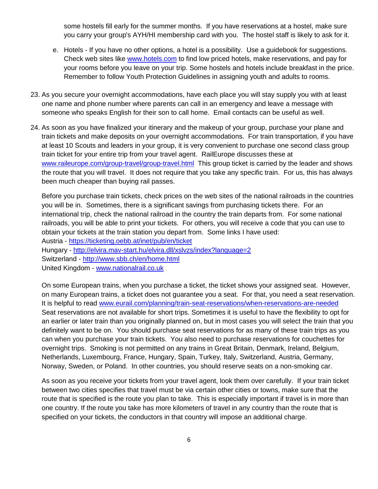some hostels fill early for the summer months. If you have reservations at a hostel, make sure you carry your group's AYH/HI membership card with you. The hostel staff is likely to ask for it.

- e. Hotels If you have no other options, a hotel is a possibility. Use a guidebook for suggestions. Check web sites like www.hotels.com to find low priced hotels, make reservations, and pay for your rooms before you leave on your trip. Some hostels and hotels include breakfast in the price. Remember to follow Youth Protection Guidelines in assigning youth and adults to rooms.
- 23. As you secure your overnight accommodations, have each place you will stay supply you with at least one name and phone number where parents can call in an emergency and leave a message with someone who speaks English for their son to call home. Email contacts can be useful as well.
- 24. As soon as you have finalized your itinerary and the makeup of your group, purchase your plane and train tickets and make deposits on your overnight accommodations. For train transportation, if you have at least 10 Scouts and leaders in your group, it is very convenient to purchase one second class group train ticket for your entire trip from your travel agent. RailEurope discusses these at [www.raileurope.com/group-travel/group-travel.html](http://www.raileurope.com/group-travel/group-travel.html) This group ticket is carried by the leader and shows the route that you will travel. It does not require that you take any specific train. For us, this has always been much cheaper than buying rail passes.

Before you purchase train tickets, check prices on the web sites of the national railroads in the countries you will be in. Sometimes, there is a significant savings from purchasing tickets there. For an international trip, check the national railroad in the country the train departs from. For some national railroads, you will be able to print your tickets. For others, you will receive a code that you can use to obtain your tickets at the train station you depart from. Some links I have used:

Austria - <https://ticketing.oebb.at/inet/pub/en/ticket>

Hungary - <http://elvira.mav-start.hu/elvira.dll/xslvzs/index?language=2>

Switzerland - <http://www.sbb.ch/en/home.html>

United Kingdom - www.nationalrail.co.uk

On some European trains, when you purchase a ticket, the ticket shows your assigned seat. However, on many European trains, a ticket does not guarantee you a seat. For that, you need a seat reservation. It is helpful to read [www.eurail.com/planning/train-seat-reservations/when-reservations-are-needed](http://www.eurail.com/planning/train-seat-reservations/when-reservations-are-needed) Seat reservations are not available for short trips. Sometimes it is useful to have the flexibility to opt for an earlier or later train than you originally planned on, but in most cases you will select the train that you definitely want to be on. You should purchase seat reservations for as many of these train trips as you can when you purchase your train tickets. You also need to purchase reservations for couchettes for overnight trips. Smoking is not permitted on any trains in Great Britain, Denmark, Ireland, Belgium, Netherlands, Luxembourg, France, Hungary, Spain, Turkey, Italy, Switzerland, Austria, Germany, Norway, Sweden, or Poland. In other countries, you should reserve seats on a non-smoking car.

As soon as you receive your tickets from your travel agent, look them over carefully. If your train ticket between two cities specifies that travel must be via certain other cities or towns, make sure that the route that is specified is the route you plan to take. This is especially important if travel is in more than one country. If the route you take has more kilometers of travel in any country than the route that is specified on your tickets, the conductors in that country will impose an additional charge.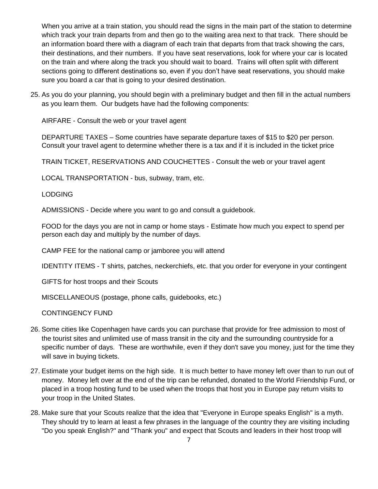When you arrive at a train station, you should read the signs in the main part of the station to determine which track your train departs from and then go to the waiting area next to that track. There should be an information board there with a diagram of each train that departs from that track showing the cars, their destinations, and their numbers. If you have seat reservations, look for where your car is located on the train and where along the track you should wait to board. Trains will often split with different sections going to different destinations so, even if you don't have seat reservations, you should make sure you board a car that is going to your desired destination.

25. As you do your planning, you should begin with a preliminary budget and then fill in the actual numbers as you learn them. Our budgets have had the following components:

AIRFARE - Consult the web or your travel agent

DEPARTURE TAXES – Some countries have separate departure taxes of \$15 to \$20 per person. Consult your travel agent to determine whether there is a tax and if it is included in the ticket price

TRAIN TICKET, RESERVATIONS AND COUCHETTES - Consult the web or your travel agent

LOCAL TRANSPORTATION - bus, subway, tram, etc.

LODGING

ADMISSIONS - Decide where you want to go and consult a guidebook.

FOOD for the days you are not in camp or home stays - Estimate how much you expect to spend per person each day and multiply by the number of days.

CAMP FEE for the national camp or jamboree you will attend

IDENTITY ITEMS - T shirts, patches, neckerchiefs, etc. that you order for everyone in your contingent

GIFTS for host troops and their Scouts

MISCELLANEOUS (postage, phone calls, guidebooks, etc.)

CONTINGENCY FUND

- 26. Some cities like Copenhagen have cards you can purchase that provide for free admission to most of the tourist sites and unlimited use of mass transit in the city and the surrounding countryside for a specific number of days. These are worthwhile, even if they don't save you money, just for the time they will save in buying tickets.
- 27. Estimate your budget items on the high side. It is much better to have money left over than to run out of money. Money left over at the end of the trip can be refunded, donated to the World Friendship Fund, or placed in a troop hosting fund to be used when the troops that host you in Europe pay return visits to your troop in the United States.
- 28. Make sure that your Scouts realize that the idea that "Everyone in Europe speaks English" is a myth. They should try to learn at least a few phrases in the language of the country they are visiting including "Do you speak English?" and "Thank you" and expect that Scouts and leaders in their host troop will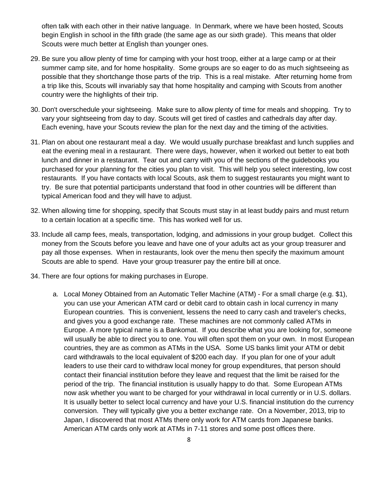often talk with each other in their native language. In Denmark, where we have been hosted, Scouts begin English in school in the fifth grade (the same age as our sixth grade). This means that older Scouts were much better at English than younger ones.

- 29. Be sure you allow plenty of time for camping with your host troop, either at a large camp or at their summer camp site, and for home hospitality. Some groups are so eager to do as much sightseeing as possible that they shortchange those parts of the trip. This is a real mistake. After returning home from a trip like this, Scouts will invariably say that home hospitality and camping with Scouts from another country were the highlights of their trip.
- 30. Don't overschedule your sightseeing. Make sure to allow plenty of time for meals and shopping. Try to vary your sightseeing from day to day. Scouts will get tired of castles and cathedrals day after day. Each evening, have your Scouts review the plan for the next day and the timing of the activities.
- 31. Plan on about one restaurant meal a day. We would usually purchase breakfast and lunch supplies and eat the evening meal in a restaurant. There were days, however, when it worked out better to eat both lunch and dinner in a restaurant. Tear out and carry with you of the sections of the guidebooks you purchased for your planning for the cities you plan to visit. This will help you select interesting, low cost restaurants. If you have contacts with local Scouts, ask them to suggest restaurants you might want to try. Be sure that potential participants understand that food in other countries will be different than typical American food and they will have to adjust.
- 32. When allowing time for shopping, specify that Scouts must stay in at least buddy pairs and must return to a certain location at a specific time. This has worked well for us.
- 33. Include all camp fees, meals, transportation, lodging, and admissions in your group budget. Collect this money from the Scouts before you leave and have one of your adults act as your group treasurer and pay all those expenses. When in restaurants, look over the menu then specify the maximum amount Scouts are able to spend. Have your group treasurer pay the entire bill at once.
- 34. There are four options for making purchases in Europe.
	- a. Local Money Obtained from an Automatic Teller Machine (ATM) For a small charge (e.g. \$1), you can use your American ATM card or debit card to obtain cash in local currency in many European countries. This is convenient, lessens the need to carry cash and traveler's checks, and gives you a good exchange rate. These machines are not commonly called ATMs in Europe. A more typical name is a Bankomat. If you describe what you are looking for, someone will usually be able to direct you to one. You will often spot them on your own. In most European countries, they are as common as ATMs in the USA. Some US banks limit your ATM or debit card withdrawals to the local equivalent of \$200 each day. If you plan for one of your adult leaders to use their card to withdraw local money for group expenditures, that person should contact their financial institution before they leave and request that the limit be raised for the period of the trip. The financial institution is usually happy to do that. Some European ATMs now ask whether you want to be charged for your withdrawal in local currently or in U.S. dollars. It is usually better to select local currency and have your U.S. financial institution do the currency conversion. They will typically give you a better exchange rate. On a November, 2013, trip to Japan, I discovered that most ATMs there only work for ATM cards from Japanese banks. American ATM cards only work at ATMs in 7-11 stores and some post offices there.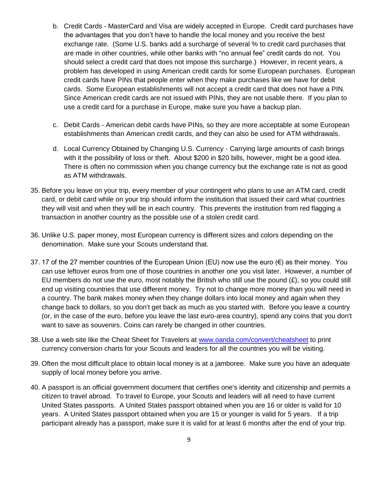- b. Credit Cards MasterCard and Visa are widely accepted in Europe. Credit card purchases have the advantages that you don't have to handle the local money and you receive the best exchange rate. (Some U.S. banks add a surcharge of several % to credit card purchases that are made in other countries, while other banks with "no annual fee" credit cards do not. You should select a credit card that does not impose this surcharge.) However, in recent years, a problem has developed in using American credit cards for some European purchases. European credit cards have PINs that people enter when they make purchases like we have for debit cards. Some European establishments will not accept a credit card that does not have a PIN. Since American credit cards are not issued with PINs, they are not usable there. If you plan to use a credit card for a purchase in Europe, make sure you have a backup plan.
- c. Debit Cards American debit cards have PINs, so they are more acceptable at some European establishments than American credit cards, and they can also be used for ATM withdrawals.
- d. Local Currency Obtained by Changing U.S. Currency Carrying large amounts of cash brings with it the possibility of loss or theft. About \$200 in \$20 bills, however, might be a good idea. There is often no commission when you change currency but the exchange rate is not as good as ATM withdrawals.
- 35. Before you leave on your trip, every member of your contingent who plans to use an ATM card, credit card, or debit card while on your trip should inform the institution that issued their card what countries they will visit and when they will be in each country. This prevents the institution from red flagging a transaction in another country as the possible use of a stolen credit card.
- 36. Unlike U.S. paper money, most European currency is different sizes and colors depending on the denomination. Make sure your Scouts understand that.
- 37. 17 of the 27 member countries of the European Union (EU) now use the euro  $(\epsilon)$  as their money. You can use leftover euros from one of those countries in another one you visit later. However, a number of EU members do not use the euro, most notably the British who still use the pound  $(E)$ , so you could still end up visiting countries that use different money. Try not to change more money than you will need in a country. The bank makes money when they change dollars into local money and again when they change back to dollars, so you don't get back as much as you started with. Before you leave a country (or, in the case of the euro, before you leave the last euro-area country), spend any coins that you don't want to save as souvenirs. Coins can rarely be changed in other countries.
- 38. Use a web site like the Cheat Sheet for Travelers at www.oanda.com/convert/cheatsheet to print currency conversion charts for your Scouts and leaders for all the countries you will be visiting.
- 39. Often the most difficult place to obtain local money is at a jamboree. Make sure you have an adequate supply of local money before you arrive.
- 40. A passport is an official government document that certifies one's identity and citizenship and permits a citizen to travel abroad. To travel to Europe, your Scouts and leaders will all need to have current United States passports. A United States passport obtained when you are 16 or older is valid for 10 years. A United States passport obtained when you are 15 or younger is valid for 5 years. If a trip participant already has a passport, make sure it is valid for at least 6 months after the end of your trip.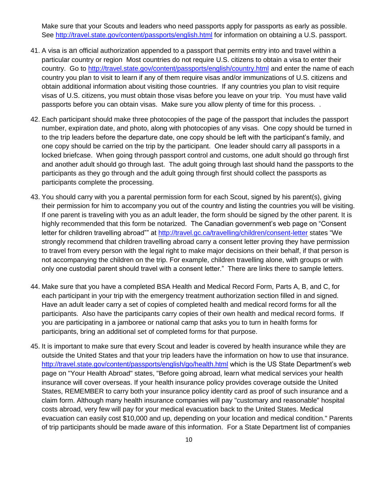Make sure that your Scouts and leaders who need passports apply for passports as early as possible. See http://travel.state.gov/content/passports/english.html for information on obtaining a U.S. passport.

- 41. A visa is an official authorization appended to a passport that permits entry into and travel within a particular country or region Most countries do not require U.S. citizens to obtain a visa to enter their country. Go to http://travel.state.gov/content/passports/english/country.html and enter the name of each country you plan to visit to learn if any of them require visas and/or immunizations of U.S. citizens and obtain additional information about visiting those countries. If any countries you plan to visit require visas of U.S. citizens, you must obtain those visas before you leave on your trip. You must have valid passports before you can obtain visas. Make sure you allow plenty of time for this process. .
- 42. Each participant should make three photocopies of the page of the passport that includes the passport number, expiration date, and photo, along with photocopies of any visas. One copy should be turned in to the trip leaders before the departure date, one copy should be left with the participant's family, and one copy should be carried on the trip by the participant. One leader should carry all passports in a locked briefcase. When going through passport control and customs, one adult should go through first and another adult should go through last. The adult going through last should hand the passports to the participants as they go through and the adult going through first should collect the passports as participants complete the processing.
- 43. You should carry with you a parental permission form for each Scout, signed by his parent(s), giving their permission for him to accompany you out of the country and listing the countries you will be visiting. If one parent is traveling with you as an adult leader, the form should be signed by the other parent. It is highly recommended that this form be notarized. The Canadian government's web page on "Consent letter for children travelling abroad"" at<http://travel.gc.ca/travelling/children/consent-letter> states "We strongly recommend that children travelling abroad carry a consent letter proving they have permission to travel from every person with the legal right to make major decisions on their behalf, if that person is not accompanying the children on the trip. For example, children travelling alone, with groups or with only one custodial parent should travel with a consent letter." There are links there to sample letters.
- 44. Make sure that you have a completed BSA Health and Medical Record Form, Parts A, B, and C, for each participant in your trip with the emergency treatment authorization section filled in and signed. Have an adult leader carry a set of copies of completed health and medical record forms for all the participants. Also have the participants carry copies of their own health and medical record forms. If you are participating in a jamboree or national camp that asks you to turn in health forms for participants, bring an additional set of completed forms for that purpose.
- 45. It is important to make sure that every Scout and leader is covered by health insurance while they are outside the United States and that your trip leaders have the information on how to use that insurance. <http://travel.state.gov/content/passports/english/go/health.html> which is the US State Department's web page on "Your Health Abroad" states, "Before going abroad, learn what medical services your health insurance will cover overseas. If your health insurance policy provides coverage outside the United States, REMEMBER to carry both your insurance policy identity card as proof of such insurance and a claim form. Although many health insurance companies will pay "customary and reasonable" hospital costs abroad, very few will pay for your medical evacuation back to the United States. Medical evacuation can easily cost \$10,000 and up, depending on your location and medical condition." Parents of trip participants should be made aware of this information. For a State Department list of companies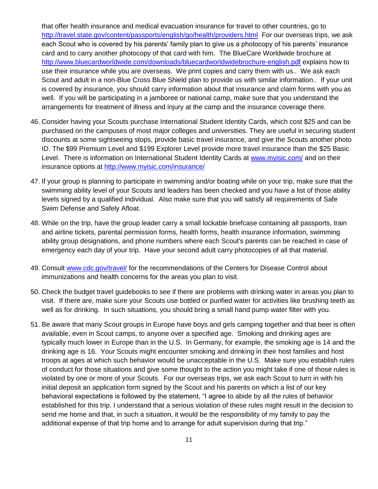that offer health insurance and medical evacuation insurance for travel to other countries, go to <http://travel.state.gov/content/passports/english/go/health/providers.html> For our overseas trips, we ask each Scout who is covered by his parents' family plan to give us a photocopy of his parents' insurance card and to carry another photocopy of that card with him. The BlueCare Worldwide brochure at <http://www.bluecardworldwide.com/downloads/bluecardworldwidebrochure-english.pdf> explains how to use their insurance while you are overseas. We print copies and carry them with us.. We ask each Scout and adult in a non-Blue Cross Blue Shield plan to provide us with similar information.. If your unit is covered by insurance, you should carry information about that insurance and claim forms with you as well. If you will be participating in a jamboree or national camp, make sure that you understand the arrangements for treatment of illness and injury at the camp and the insurance coverage there.

- 46. Consider having your Scouts purchase International Student Identity Cards, which cost \$25 and can be purchased on the campuses of most major colleges and universities. They are useful in securing student discounts at some sightseeing stops, provide basic travel insurance, and give the Scouts another photo ID. The \$99 Premium Level and \$199 Explorer Level provide more travel insurance than the \$25 Basic Level. There is information on International Student Identity Cards at [www.myisic.com/](http://www.myisic.com/) and on their insurance options at<http://www.myisic.com/insurance/>
- 47. If your group is planning to participate in swimming and/or boating while on your trip, make sure that the swimming ability level of your Scouts and leaders has been checked and you have a list of those ability levels signed by a qualified individual. Also make sure that you will satisfy all requirements of Safe Swim Defense and Safely Afloat.
- 48. While on the trip, have the group leader carry a small lockable briefcase containing all passports, train and airline tickets, parental permission forms, health forms, health insurance information, swimming ability group designations, and phone numbers where each Scout's parents can be reached in case of emergency each day of your trip. Have your second adult carry photocopies of all that material.
- 49. Consult www.cdc.gov/travel/ for the recommendations of the Centers for Disease Control about immunizations and health concerns for the areas you plan to visit.
- 50. Check the budget travel guidebooks to see if there are problems with drinking water in areas you plan to visit. If there are, make sure your Scouts use bottled or purified water for activities like brushing teeth as well as for drinking. In such situations, you should bring a small hand pump water filter with you.
- 51. Be aware that many Scout groups in Europe have boys and girls camping together and that beer is often available, even in Scout camps, to anyone over a specified age. Smoking and drinking ages are typically much lower in Europe than in the U.S. In Germany, for example, the smoking age is 14 and the drinking age is 16. Your Scouts might encounter smoking and drinking in their host families and host troops at ages at which such behavior would be unacceptable in the U.S. Make sure you establish rules of conduct for those situations and give some thought to the action you might take if one of those rules is violated by one or more of your Scouts. For our overseas trips, we ask each Scout to turn in with his initial deposit an application form signed by the Scout and his parents on which a list of our key behavioral expectations is followed by the statement, "I agree to abide by all the rules of behavior established for this trip. I understand that a serious violation of these rules might result in the decision to send me home and that, in such a situation, it would be the responsibility of my family to pay the additional expense of that trip home and to arrange for adult supervision during that trip."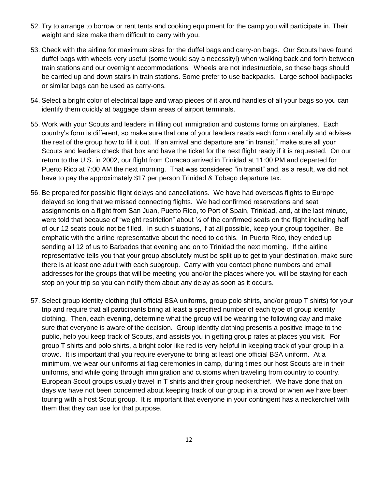- 52. Try to arrange to borrow or rent tents and cooking equipment for the camp you will participate in. Their weight and size make them difficult to carry with you.
- 53. Check with the airline for maximum sizes for the duffel bags and carry-on bags. Our Scouts have found duffel bags with wheels very useful (some would say a necessity!) when walking back and forth between train stations and our overnight accommodations. Wheels are not indestructible, so these bags should be carried up and down stairs in train stations. Some prefer to use backpacks. Large school backpacks or similar bags can be used as carry-ons.
- 54. Select a bright color of electrical tape and wrap pieces of it around handles of all your bags so you can identify them quickly at baggage claim areas of airport terminals.
- 55. Work with your Scouts and leaders in filling out immigration and customs forms on airplanes. Each country's form is different, so make sure that one of your leaders reads each form carefully and advises the rest of the group how to fill it out. If an arrival and departure are "in transit," make sure all your Scouts and leaders check that box and have the ticket for the next flight ready if it is requested. On our return to the U.S. in 2002, our flight from Curacao arrived in Trinidad at 11:00 PM and departed for Puerto Rico at 7:00 AM the next morning. That was considered "in transit" and, as a result, we did not have to pay the approximately \$17 per person Trinidad & Tobago departure tax.
- 56. Be prepared for possible flight delays and cancellations. We have had overseas flights to Europe delayed so long that we missed connecting flights. We had confirmed reservations and seat assignments on a flight from San Juan, Puerto Rico, to Port of Spain, Trinidad, and, at the last minute, were told that because of "weight restriction" about  $\frac{1}{4}$  of the confirmed seats on the flight including half of our 12 seats could not be filled. In such situations, if at all possible, keep your group together. Be emphatic with the airline representative about the need to do this. In Puerto Rico, they ended up sending all 12 of us to Barbados that evening and on to Trinidad the next morning. If the airline representative tells you that your group absolutely must be split up to get to your destination, make sure there is at least one adult with each subgroup. Carry with you contact phone numbers and email addresses for the groups that will be meeting you and/or the places where you will be staying for each stop on your trip so you can notify them about any delay as soon as it occurs.
- 57. Select group identity clothing (full official BSA uniforms, group polo shirts, and/or group T shirts) for your trip and require that all participants bring at least a specified number of each type of group identity clothing. Then, each evening, determine what the group will be wearing the following day and make sure that everyone is aware of the decision. Group identity clothing presents a positive image to the public, help you keep track of Scouts, and assists you in getting group rates at places you visit. For group T shirts and polo shirts, a bright color like red is very helpful in keeping track of your group in a crowd. It is important that you require everyone to bring at least one official BSA uniform. At a minimum, we wear our uniforms at flag ceremonies in camp, during times our host Scouts are in their uniforms, and while going through immigration and customs when traveling from country to country. European Scout groups usually travel in T shirts and their group neckerchief. We have done that on days we have not been concerned about keeping track of our group in a crowd or when we have been touring with a host Scout group. It is important that everyone in your contingent has a neckerchief with them that they can use for that purpose.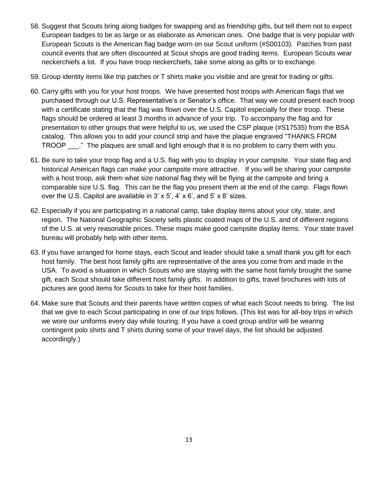- 58. Suggest that Scouts bring along badges for swapping and as friendship gifts, but tell them not to expect European badges to be as large or as elaborate as American ones. One badge that is very popular with European Scouts is the American flag badge worn on our Scout uniform (#S00103). Patches from past council events that are often discounted at Scout shops are good trading items. European Scouts wear neckerchiefs a lot. If you have troop neckerchiefs, take some along as gifts or to exchange.
- 59. Group identity items like trip patches or T shirts make you visible and are great for trading or gifts.
- 60. Carry gifts with you for your host troops. We have presented host troops with American flags that we purchased through our U.S. Representative's or Senator's office. That way we could present each troop with a certificate stating that the flag was flown over the U.S. Capitol especially for their troop. These flags should be ordered at least 3 months in advance of your trip. To accompany the flag and for presentation to other groups that were helpful to us, we used the CSP plaque (#S17535) from the BSA catalog. This allows you to add your council strip and have the plaque engraved "THANKS FROM TROOP \_\_\_." The plaques are small and light enough that it is no problem to carry them with you.
- 61. Be sure to take your troop flag and a U.S. flag with you to display in your campsite. Your state flag and historical American flags can make your campsite more attractive. If you will be sharing your campsite with a host troop, ask them what size national flag they will be flying at the campsite and bring a comparable size U.S. flag. This can be the flag you present them at the end of the camp. Flags flown over the U.S. Capitol are available in 3' x 5', 4' x 6', and 5' x 8' sizes.
- 62. Especially if you are participating in a national camp, take display items about your city, state, and region. The National Geographic Society sells plastic coated maps of the U.S. and of different regions of the U.S. at very reasonable prices. These maps make good campsite display items. Your state travel bureau will probably help with other items.
- 63. If you have arranged for home stays, each Scout and leader should take a small thank you gift for each host family. The best host family gifts are representative of the area you come from and made in the USA. To avoid a situation in which Scouts who are staying with the same host family brought the same gift, each Scout should take different host family gifts. In addition to gifts, travel brochures with lots of pictures are good items for Scouts to take for their host families.
- 64. Make sure that Scouts and their parents have written copies of what each Scout needs to bring. The list that we give to each Scout participating in one of our trips follows. (This list was for all-boy trips in which we wore our uniforms every day while touring. If you have a coed group and/or will be wearing contingent polo shirts and T shirts during some of your travel days, the list should be adjusted accordingly.)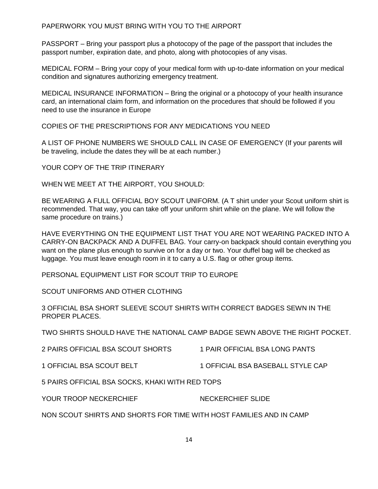PAPERWORK YOU MUST BRING WITH YOU TO THE AIRPORT

PASSPORT – Bring your passport plus a photocopy of the page of the passport that includes the passport number, expiration date, and photo, along with photocopies of any visas.

MEDICAL FORM – Bring your copy of your medical form with up-to-date information on your medical condition and signatures authorizing emergency treatment.

MEDICAL INSURANCE INFORMATION – Bring the original or a photocopy of your health insurance card, an international claim form, and information on the procedures that should be followed if you need to use the insurance in Europe

COPIES OF THE PRESCRIPTIONS FOR ANY MEDICATIONS YOU NEED

A LIST OF PHONE NUMBERS WE SHOULD CALL IN CASE OF EMERGENCY (If your parents will be traveling, include the dates they will be at each number.)

YOUR COPY OF THE TRIP ITINERARY

WHEN WE MEET AT THE AIRPORT, YOU SHOULD:

BE WEARING A FULL OFFICIAL BOY SCOUT UNIFORM. (A T shirt under your Scout uniform shirt is recommended. That way, you can take off your uniform shirt while on the plane. We will follow the same procedure on trains.)

HAVE EVERYTHING ON THE EQUIPMENT LIST THAT YOU ARE NOT WEARING PACKED INTO A CARRY-ON BACKPACK AND A DUFFEL BAG. Your carry-on backpack should contain everything you want on the plane plus enough to survive on for a day or two. Your duffel bag will be checked as luggage. You must leave enough room in it to carry a U.S. flag or other group items.

PERSONAL EQUIPMENT LIST FOR SCOUT TRIP TO EUROPE

SCOUT UNIFORMS AND OTHER CLOTHING

3 OFFICIAL BSA SHORT SLEEVE SCOUT SHIRTS WITH CORRECT BADGES SEWN IN THE PROPER PLACES.

TWO SHIRTS SHOULD HAVE THE NATIONAL CAMP BADGE SEWN ABOVE THE RIGHT POCKET.

| 2 PAIRS OFFICIAL BSA SCOUT SHORTS | 1 PAIR OFFICIAL BSA LONG PANTS |
|-----------------------------------|--------------------------------|
|                                   |                                |

1 OFFICIAL BSA SCOUT BELT 1 OFFICIAL BSA BASEBALL STYLE CAP

5 PAIRS OFFICIAL BSA SOCKS, KHAKI WITH RED TOPS

YOUR TROOP NECKERCHIEF NECKERCHIEF SLIDE

NON SCOUT SHIRTS AND SHORTS FOR TIME WITH HOST FAMILIES AND IN CAMP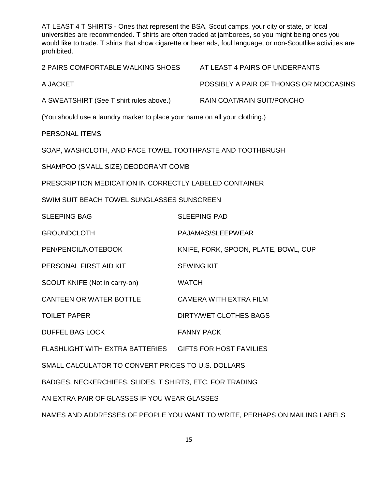AT LEAST 4 T SHIRTS - Ones that represent the BSA, Scout camps, your city or state, or local universities are recommended. T shirts are often traded at jamborees, so you might being ones you would like to trade. T shirts that show cigarette or beer ads, foul language, or non-Scoutlike activities are prohibited.

2 PAIRS COMFORTABLE WALKING SHOES AT LEAST 4 PAIRS OF UNDERPANTS

A JACKET POSSIBLY A PAIR OF THONGS OR MOCCASINS

A SWEATSHIRT (See T shirt rules above.) RAIN COAT/RAIN SUIT/PONCHO

(You should use a laundry marker to place your name on all your clothing.)

PERSONAL ITEMS

SOAP, WASHCLOTH, AND FACE TOWEL TOOTHPASTE AND TOOTHBRUSH

SHAMPOO (SMALL SIZE) DEODORANT COMB

PRESCRIPTION MEDICATION IN CORRECTLY LABELED CONTAINER

SWIM SUIT BEACH TOWEL SUNGLASSES SUNSCREEN

SLEEPING BAG SLEEPING PAD

GROUNDCLOTH PAJAMAS/SLEEPWEAR

PEN/PENCIL/NOTEBOOK KNIFE, FORK, SPOON, PLATE, BOWL, CUP

PERSONAL FIRST AID KIT SEWING KIT

SCOUT KNIFE (Not in carry-on) WATCH

CANTEEN OR WATER BOTTLE CAMERA WITH EXTRA FILM

TOILET PAPER DIRTY/WET CLOTHES BAGS

DUFFEL BAG LOCK FANNY PACK

FLASHLIGHT WITH EXTRA BATTERIES GIFTS FOR HOST FAMILIES

SMALL CALCULATOR TO CONVERT PRICES TO U.S. DOLLARS

BADGES, NECKERCHIEFS, SLIDES, T SHIRTS, ETC. FOR TRADING

AN EXTRA PAIR OF GLASSES IF YOU WEAR GLASSES

NAMES AND ADDRESSES OF PEOPLE YOU WANT TO WRITE, PERHAPS ON MAILING LABELS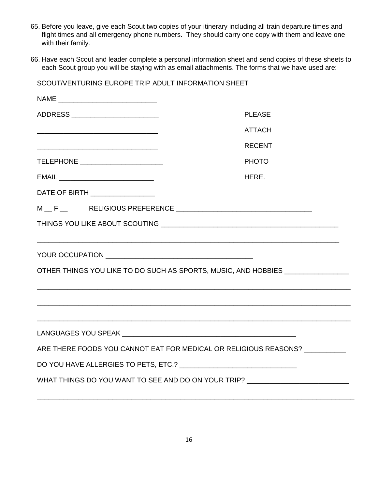- 65. Before you leave, give each Scout two copies of your itinerary including all train departure times and flight times and all emergency phone numbers. They should carry one copy with them and leave one with their family.
- 66. Have each Scout and leader complete a personal information sheet and send copies of these sheets to each Scout group you will be staying with as email attachments. The forms that we have used are:

| SCOUT/VENTURING EUROPE TRIP ADULT INFORMATION SHEET                                                                   |  |  |
|-----------------------------------------------------------------------------------------------------------------------|--|--|
|                                                                                                                       |  |  |
| <b>PLEASE</b>                                                                                                         |  |  |
| <b>ATTACH</b>                                                                                                         |  |  |
| <b>RECENT</b>                                                                                                         |  |  |
| TELEPHONE _______________________<br><b>PHOTO</b>                                                                     |  |  |
| HERE.                                                                                                                 |  |  |
|                                                                                                                       |  |  |
| $M\_F\_$ RELIGIOUS PREFERENCE $\_\_\_\_\_\_\_\_$                                                                      |  |  |
|                                                                                                                       |  |  |
| OTHER THINGS YOU LIKE TO DO SUCH AS SPORTS, MUSIC, AND HOBBIES _________________                                      |  |  |
| <u> 1989 - Johann Stoff, deutscher Stoff, der Stoff, der Stoff, der Stoff, der Stoff, der Stoff, der Stoff, der S</u> |  |  |
|                                                                                                                       |  |  |
| ARE THERE FOODS YOU CANNOT EAT FOR MEDICAL OR RELIGIOUS REASONS? __________                                           |  |  |
|                                                                                                                       |  |  |
| WHAT THINGS DO YOU WANT TO SEE AND DO ON YOUR TRIP? ____________________________                                      |  |  |
|                                                                                                                       |  |  |

\_\_\_\_\_\_\_\_\_\_\_\_\_\_\_\_\_\_\_\_\_\_\_\_\_\_\_\_\_\_\_\_\_\_\_\_\_\_\_\_\_\_\_\_\_\_\_\_\_\_\_\_\_\_\_\_\_\_\_\_\_\_\_\_\_\_\_\_\_\_\_\_\_\_\_\_\_\_\_\_\_\_\_\_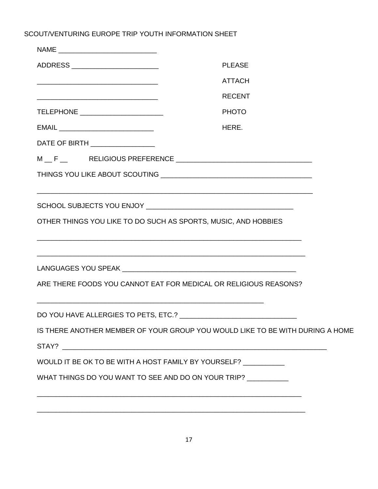SCOUT/VENTURING EUROPE TRIP YOUTH INFORMATION SHEET

| ADDRESS _______________________                                                                                       | <b>PLEASE</b>                                                                                                                                                                                                                                                                                                                                                                                                                                     |
|-----------------------------------------------------------------------------------------------------------------------|---------------------------------------------------------------------------------------------------------------------------------------------------------------------------------------------------------------------------------------------------------------------------------------------------------------------------------------------------------------------------------------------------------------------------------------------------|
|                                                                                                                       | <b>ATTACH</b>                                                                                                                                                                                                                                                                                                                                                                                                                                     |
| <u> 2008 - John Harry Harry Harry Harry Harry Harry Harry Harry Harry Harry Harry Harry Harry Harry Harry Harry H</u> | <b>RECENT</b>                                                                                                                                                                                                                                                                                                                                                                                                                                     |
| TELEPHONE _________________________                                                                                   | <b>PHOTO</b>                                                                                                                                                                                                                                                                                                                                                                                                                                      |
|                                                                                                                       | HERE.                                                                                                                                                                                                                                                                                                                                                                                                                                             |
| DATE OF BIRTH __________________                                                                                      |                                                                                                                                                                                                                                                                                                                                                                                                                                                   |
|                                                                                                                       | $\mathsf{M} \hspace*{-.3mm} \perp \hspace*{-.3mm} \mathsf{F} \hspace*{-.3mm} \perp \hspace*{-.3mm} \mathsf{RELIGIOUS PREFERENCE} \hspace*{-.3mm} \underline{\hspace*{-.3mm}} \hspace*{-.3mm} \underbrace{\hspace*{-.3mm} \ldots \hspace*{-.3mm} \ldots \hspace*{-.3mm} \ldots \hspace*{-.3mm} \ldots \hspace*{-.3mm} \ldots \hspace*{-.3mm} \ldots \hspace*{-.3mm} \ldots \hspace*{-.3mm} \ldots \hspace*{-.3mm} \ldots \hspace*{-.3mm} \ldots \$ |
|                                                                                                                       |                                                                                                                                                                                                                                                                                                                                                                                                                                                   |
|                                                                                                                       |                                                                                                                                                                                                                                                                                                                                                                                                                                                   |
|                                                                                                                       |                                                                                                                                                                                                                                                                                                                                                                                                                                                   |
| OTHER THINGS YOU LIKE TO DO SUCH AS SPORTS, MUSIC, AND HOBBIES                                                        |                                                                                                                                                                                                                                                                                                                                                                                                                                                   |
|                                                                                                                       |                                                                                                                                                                                                                                                                                                                                                                                                                                                   |
|                                                                                                                       | ,我们也不能在这里的人,我们也不能在这里的人,我们也不能在这里的人,我们也不能在这里的人,我们也不能在这里的人,我们也不能在这里的人,我们也不能在这里的人,我们也                                                                                                                                                                                                                                                                                                                                                                 |
|                                                                                                                       |                                                                                                                                                                                                                                                                                                                                                                                                                                                   |
|                                                                                                                       | ARE THERE FOODS YOU CANNOT EAT FOR MEDICAL OR RELIGIOUS REASONS?                                                                                                                                                                                                                                                                                                                                                                                  |
|                                                                                                                       |                                                                                                                                                                                                                                                                                                                                                                                                                                                   |
|                                                                                                                       |                                                                                                                                                                                                                                                                                                                                                                                                                                                   |
|                                                                                                                       | IS THERE ANOTHER MEMBER OF YOUR GROUP YOU WOULD LIKE TO BE WITH DURING A HOME                                                                                                                                                                                                                                                                                                                                                                     |
|                                                                                                                       |                                                                                                                                                                                                                                                                                                                                                                                                                                                   |
| WOULD IT BE OK TO BE WITH A HOST FAMILY BY YOURSELF? ___________                                                      |                                                                                                                                                                                                                                                                                                                                                                                                                                                   |
|                                                                                                                       | WHAT THINGS DO YOU WANT TO SEE AND DO ON YOUR TRIP? __________                                                                                                                                                                                                                                                                                                                                                                                    |
|                                                                                                                       |                                                                                                                                                                                                                                                                                                                                                                                                                                                   |
|                                                                                                                       |                                                                                                                                                                                                                                                                                                                                                                                                                                                   |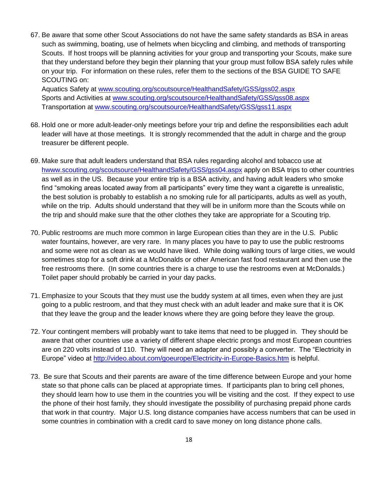67. Be aware that some other Scout Associations do not have the same safety standards as BSA in areas such as swimming, boating, use of helmets when bicycling and climbing, and methods of transporting Scouts. If host troops will be planning activities for your group and transporting your Scouts, make sure that they understand before they begin their planning that your group must follow BSA safely rules while on your trip. For information on these rules, refer them to the sections of the BSA GUIDE TO SAFE SCOUTING on:

Aquatics Safety at www.scouting.org/scoutsource/HealthandSafety/GSS/gss02.aspx Sports and Activities at [www.scouting.org/scoutsource/HealthandSafety/GSS/gss08.aspx](http://www.scouting.org/scoutsource/HealthandSafety/GSS/gss08.aspx) Transportation at www.scouting.org/scoutsource/HealthandSafety/GSS/gss11.aspx

- 68. Hold one or more adult-leader-only meetings before your trip and define the responsibilities each adult leader will have at those meetings. It is strongly recommended that the adult in charge and the group treasurer be different people.
- 69. Make sure that adult leaders understand that BSA rules regarding alcohol and tobacco use at hwww.scouting.org/scoutsource/HealthandSafety/GSS/gss04.aspx apply on BSA trips to other countries as well as in the US. Because your entire trip is a BSA activity, and having adult leaders who smoke find "smoking areas located away from all participants" every time they want a cigarette is unrealistic, the best solution is probably to establish a no smoking rule for all participants, adults as well as youth, while on the trip. Adults should understand that they will be in uniform more than the Scouts while on the trip and should make sure that the other clothes they take are appropriate for a Scouting trip.
- 70. Public restrooms are much more common in large European cities than they are in the U.S. Public water fountains, however, are very rare. In many places you have to pay to use the public restrooms and some were not as clean as we would have liked. While doing walking tours of large cities, we would sometimes stop for a soft drink at a McDonalds or other American fast food restaurant and then use the free restrooms there. (In some countries there is a charge to use the restrooms even at McDonalds.) Toilet paper should probably be carried in your day packs.
- 71. Emphasize to your Scouts that they must use the buddy system at all times, even when they are just going to a public restroom, and that they must check with an adult leader and make sure that it is OK that they leave the group and the leader knows where they are going before they leave the group.
- 72. Your contingent members will probably want to take items that need to be plugged in. They should be aware that other countries use a variety of different shape electric prongs and most European countries are on 220 volts instead of 110. They will need an adapter and possibly a converter. The "Electricity in Europe" video at<http://video.about.com/goeurope/Electricity-in-Europe-Basics.htm> is helpful.
- 73. Be sure that Scouts and their parents are aware of the time difference between Europe and your home state so that phone calls can be placed at appropriate times. If participants plan to bring cell phones, they should learn how to use them in the countries you will be visiting and the cost. If they expect to use the phone of their host family, they should investigate the possibility of purchasing prepaid phone cards that work in that country. Major U.S. long distance companies have access numbers that can be used in some countries in combination with a credit card to save money on long distance phone calls.